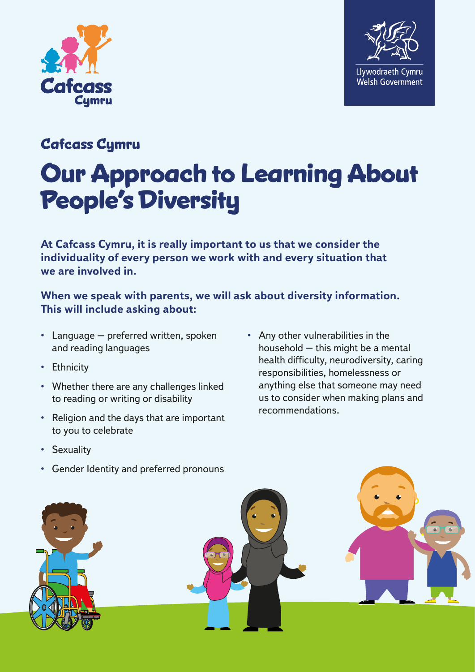



## **Cafcass Cymru**

## **Our Approach to Learning About People's Diversity**

**At Cafcass Cymru, it is really important to us that we consider the individuality of every person we work with and every situation that we are involved in.**

## **When we speak with parents, we will ask about diversity information. This will include asking about:**

- Language preferred written, spoken and reading languages
- Ethnicity
- Whether there are any challenges linked to reading or writing or disability
- Religion and the days that are important to you to celebrate
- Any other vulnerabilities in the household – this might be a mental health difficulty, neurodiversity, caring responsibilities, homelessness or anything else that someone may need us to consider when making plans and recommendations.

- Sexuality
- Gender Identity and preferred pronouns